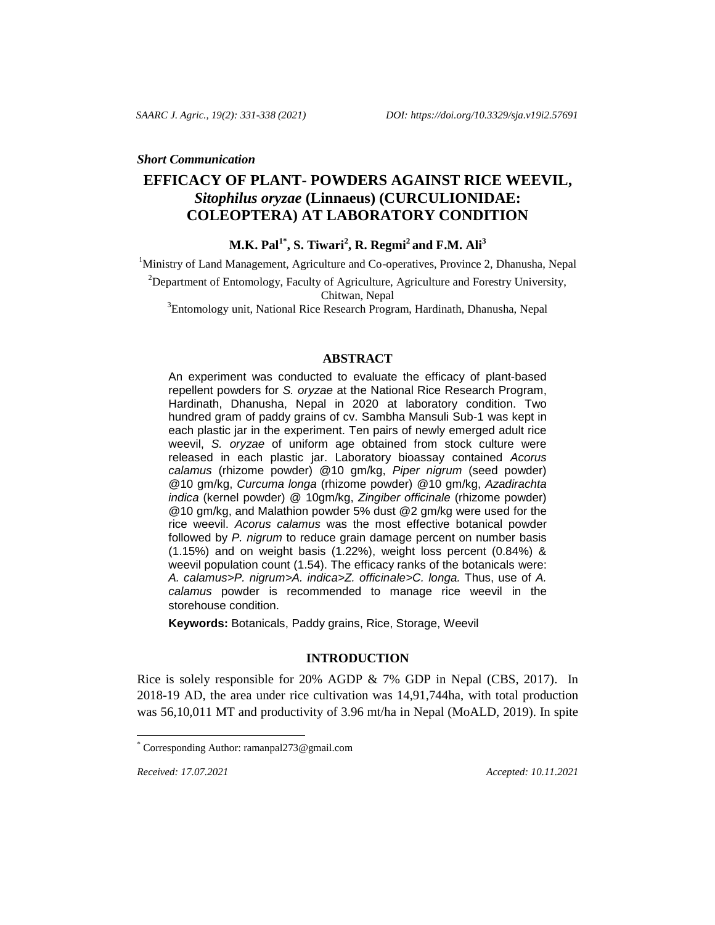#### *Short Communication*

# **EFFICACY OF PLANT- POWDERS AGAINST RICE WEEVIL,**  *Sitophilus oryzae* **(Linnaeus) (CURCULIONIDAE: COLEOPTERA) AT LABORATORY CONDITION**

**M.K. Pal1\* , S. Tiwari<sup>2</sup> , R. Regmi<sup>2</sup>and F.M. Ali<sup>3</sup>**

<sup>1</sup>Ministry of Land Management, Agriculture and Co-operatives, Province 2, Dhanusha, Nepal

<sup>2</sup>Department of Entomology, Faculty of Agriculture, Agriculture and Forestry University,

Chitwan, Nepal

<sup>3</sup>Entomology unit, National Rice Research Program, Hardinath, Dhanusha, Nepal

#### **ABSTRACT**

An experiment was conducted to evaluate the efficacy of plant-based repellent powders for *S. oryzae* at the National Rice Research Program, Hardinath, Dhanusha, Nepal in 2020 at laboratory condition. Two hundred gram of paddy grains of cv. Sambha Mansuli Sub-1 was kept in each plastic jar in the experiment. Ten pairs of newly emerged adult rice weevil, *S. oryzae* of uniform age obtained from stock culture were released in each plastic jar. Laboratory bioassay contained *Acorus calamus* (rhizome powder) @10 gm/kg, *Piper nigrum* (seed powder) @10 gm/kg, *Curcuma longa* (rhizome powder) @10 gm/kg, *Azadirachta indica* (kernel powder) @ 10gm/kg, *Zingiber officinale* (rhizome powder) @10 gm/kg, and Malathion powder 5% dust @2 gm/kg were used for the rice weevil. *Acorus calamus* was the most effective botanical powder followed by *P. nigrum* to reduce grain damage percent on number basis (1.15%) and on weight basis (1.22%), weight loss percent (0.84%) & weevil population count (1.54). The efficacy ranks of the botanicals were: *A. calamus>P. nigrum>A. indica>Z. officinale>C. longa.* Thus, use of *A. calamus* powder is recommended to manage rice weevil in the storehouse condition.

**Keywords:** Botanicals, Paddy grains, Rice, Storage, Weevil

## **INTRODUCTION**

Rice is solely responsible for 20% AGDP & 7% GDP in Nepal (CBS, 2017). In 2018-19 AD, the area under rice cultivation was 14,91,744ha, with total production was 56,10,011 MT and productivity of 3.96 mt/ha in Nepal (MoALD, 2019). In spite

*Received: 17.07.2021 Accepted: 10.11.2021*

l

Corresponding Author[: ramanpal273@gmail.com](mailto:ramanpal273@gmail.com)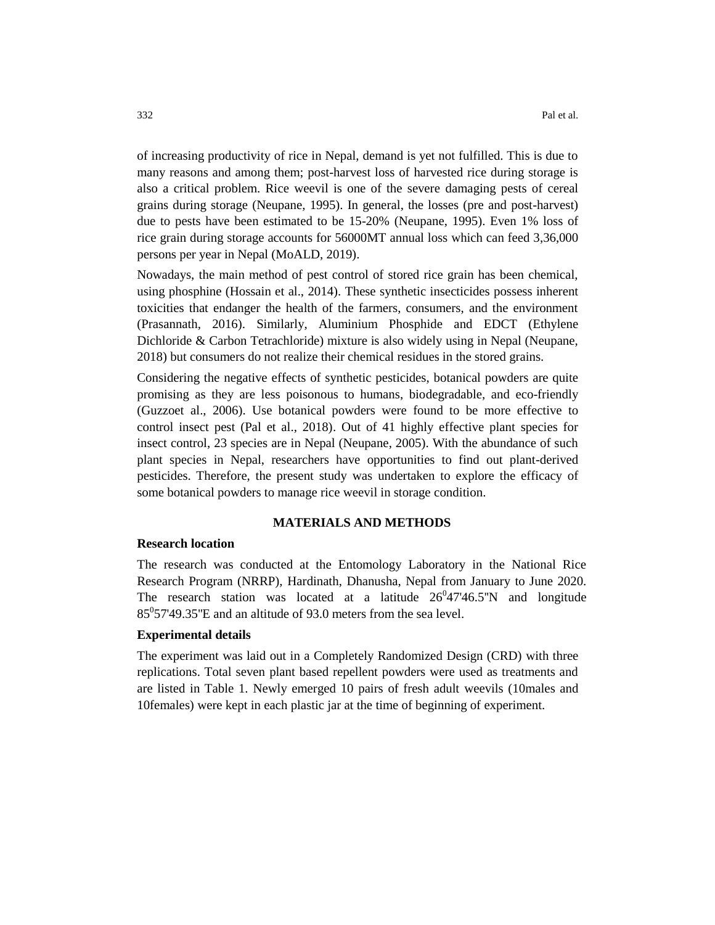of increasing productivity of rice in Nepal, demand is yet not fulfilled. This is due to many reasons and among them; post-harvest loss of harvested rice during storage is also a critical problem. Rice weevil is one of the severe damaging pests of cereal grains during storage (Neupane, 1995). In general, the losses (pre and post-harvest) due to pests have been estimated to be 15-20% (Neupane, 1995). Even 1% loss of rice grain during storage accounts for 56000MT annual loss which can feed 3,36,000 persons per year in Nepal (MoALD, 2019).

Nowadays, the main method of pest control of stored rice grain has been chemical, using phosphine (Hossain et al., 2014). These synthetic insecticides possess inherent toxicities that endanger the health of the farmers, consumers, and the environment (Prasannath, 2016). Similarly, Aluminium Phosphide and EDCT (Ethylene Dichloride & Carbon Tetrachloride) mixture is also widely using in Nepal (Neupane, 2018) but consumers do not realize their chemical residues in the stored grains.

Considering the negative effects of synthetic pesticides, botanical powders are quite promising as they are less poisonous to humans, biodegradable, and eco-friendly (Guzzoet al., 2006). Use botanical powders were found to be more effective to control insect pest (Pal et al., 2018). Out of 41 highly effective plant species for insect control, 23 species are in Nepal (Neupane, 2005). With the abundance of such plant species in Nepal, researchers have opportunities to find out plant-derived pesticides. Therefore, the present study was undertaken to explore the efficacy of some botanical powders to manage rice weevil in storage condition.

## **MATERIALS AND METHODS**

## **Research location**

The research was conducted at the Entomology Laboratory in the National Rice Research Program (NRRP), Hardinath, Dhanusha, Nepal from January to June 2020. The research station was located at a latitude  $26^047'46.5''N$  and longitude  $85^{\circ}$ 57'49.35"E and an altitude of 93.0 meters from the sea level.

#### **Experimental details**

The experiment was laid out in a Completely Randomized Design (CRD) with three replications. Total seven plant based repellent powders were used as treatments and are listed in Table 1. Newly emerged 10 pairs of fresh adult weevils (10males and 10females) were kept in each plastic jar at the time of beginning of experiment.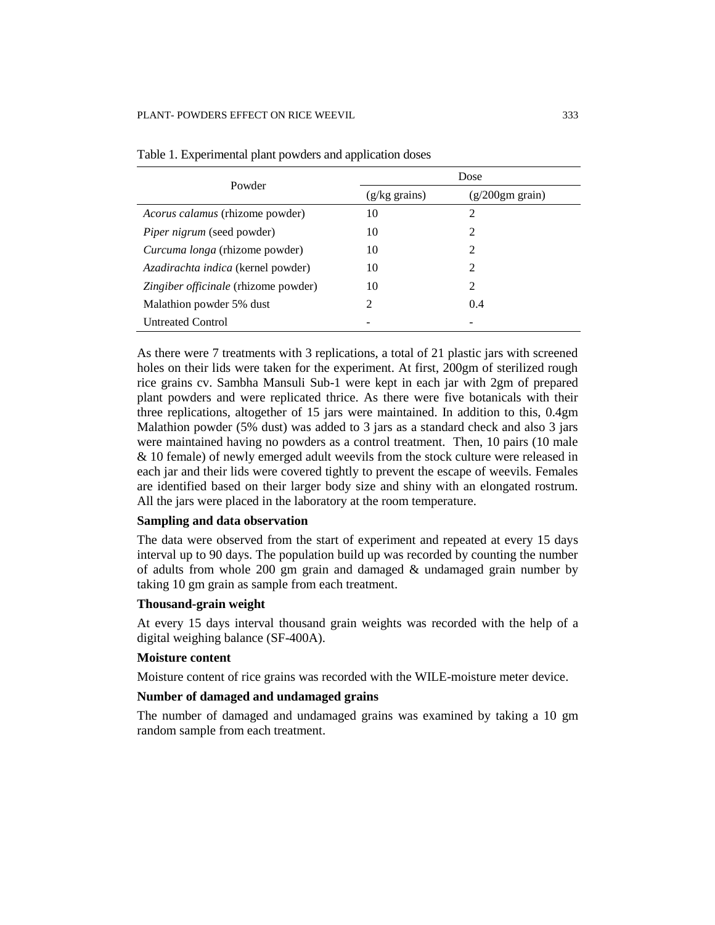| Powder                                 | Dose       |                      |  |
|----------------------------------------|------------|----------------------|--|
|                                        | $(g/kg \)$ | $(g/200gm \, grain)$ |  |
| <i>Acorus calamus</i> (rhizome powder) | 10         | $\mathfrak{D}$       |  |
| <i>Piper nigrum</i> (seed powder)      | 10         | $\mathfrak{D}$       |  |
| Curcuma longa (rhizome powder)         | 10         | $\mathfrak{D}$       |  |
| Azadirachta indica (kernel powder)     | 10         | $\mathfrak{D}$       |  |
| Zingiber officinale (rhizome powder)   | 10         | $\mathfrak{D}$       |  |
| Malathion powder 5% dust               | 2          | 0.4                  |  |
| <b>Untreated Control</b>               |            |                      |  |

Table 1. Experimental plant powders and application doses

As there were 7 treatments with 3 replications, a total of 21 plastic jars with screened holes on their lids were taken for the experiment. At first, 200gm of sterilized rough rice grains cv. Sambha Mansuli Sub-1 were kept in each jar with 2gm of prepared plant powders and were replicated thrice. As there were five botanicals with their three replications, altogether of 15 jars were maintained. In addition to this, 0.4gm Malathion powder (5% dust) was added to 3 jars as a standard check and also 3 jars were maintained having no powders as a control treatment. Then, 10 pairs (10 male & 10 female) of newly emerged adult weevils from the stock culture were released in each jar and their lids were covered tightly to prevent the escape of weevils. Females are identified based on their larger body size and shiny with an elongated rostrum. All the jars were placed in the laboratory at the room temperature.

## **Sampling and data observation**

The data were observed from the start of experiment and repeated at every 15 days interval up to 90 days. The population build up was recorded by counting the number of adults from whole 200 gm grain and damaged  $\&$  undamaged grain number by taking 10 gm grain as sample from each treatment.

## **Thousand-grain weight**

At every 15 days interval thousand grain weights was recorded with the help of a digital weighing balance (SF-400A).

## **Moisture content**

Moisture content of rice grains was recorded with the WILE-moisture meter device.

#### **Number of damaged and undamaged grains**

The number of damaged and undamaged grains was examined by taking a 10 gm random sample from each treatment.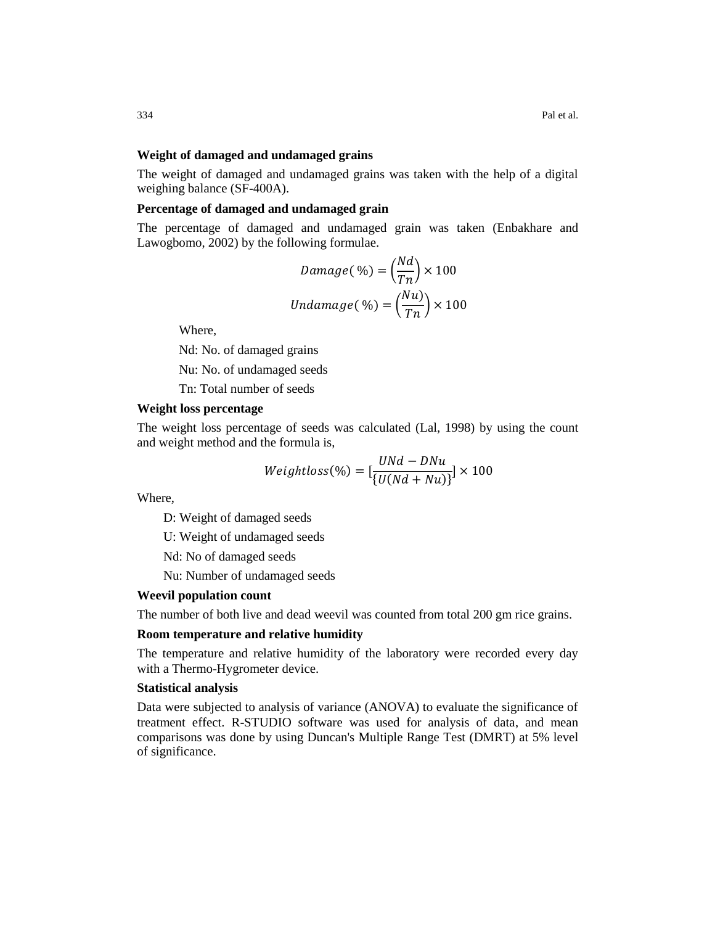#### **Weight of damaged and undamaged grains**

The weight of damaged and undamaged grains was taken with the help of a digital weighing balance (SF-400A).

### **Percentage of damaged and undamaged grain**

The percentage of damaged and undamaged grain was taken (Enbakhare and Lawogbomo, 2002) by the following formulae.

$$
Damage(\%) = \left(\frac{Na}{Tn}\right) \times 100
$$

$$
Undamage(\%) = \left(\frac{Nu}{Tn}\right) \times 100
$$

 $.11.$ 

Where,

Nd: No. of damaged grains

Nu: No. of undamaged seeds

Tn: Total number of seeds

## **Weight loss percentage**

The weight loss percentage of seeds was calculated (Lal, 1998) by using the count and weight method and the formula is,

$$
Weightloss(\%) = [\frac{UNd - DNu}{\{U(Nd + Nu)\}}] \times 100
$$

Where,

D: Weight of damaged seeds

U: Weight of undamaged seeds

Nd: No of damaged seeds

Nu: Number of undamaged seeds

#### **Weevil population count**

The number of both live and dead weevil was counted from total 200 gm rice grains.

#### **Room temperature and relative humidity**

The temperature and relative humidity of the laboratory were recorded every day with a Thermo-Hygrometer device.

#### **Statistical analysis**

Data were subjected to analysis of variance (ANOVA) to evaluate the significance of treatment effect. R-STUDIO software was used for analysis of data, and mean comparisons was done by using Duncan's Multiple Range Test (DMRT) at 5% level of significance.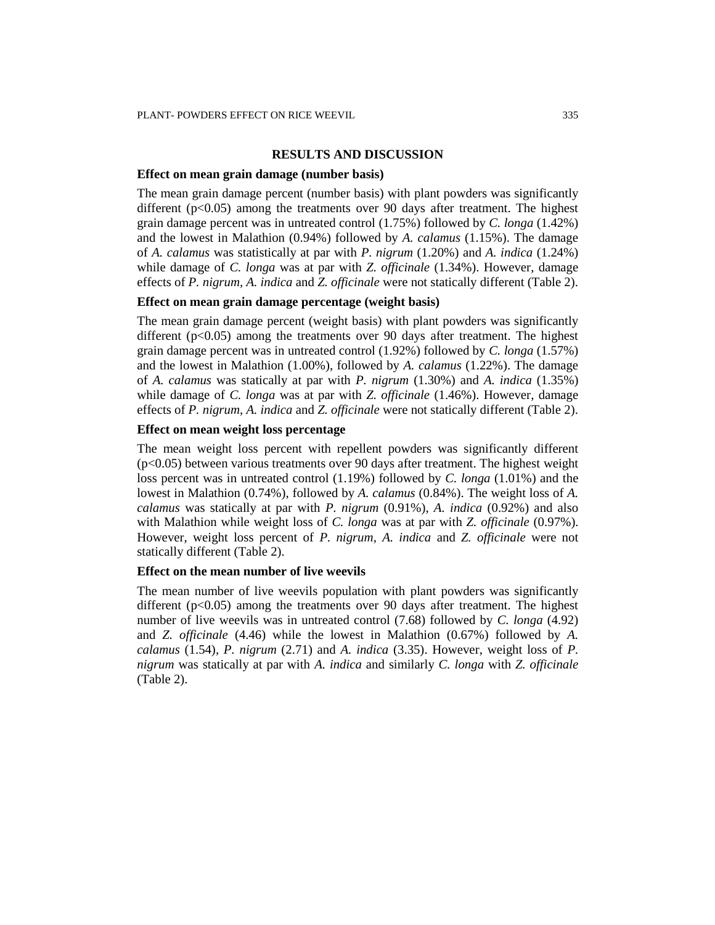#### **RESULTS AND DISCUSSION**

#### **Effect on mean grain damage (number basis)**

The mean grain damage percent (number basis) with plant powders was significantly different ( $p<0.05$ ) among the treatments over 90 days after treatment. The highest grain damage percent was in untreated control (1.75%) followed by *C. longa* (1.42%) and the lowest in Malathion (0.94%) followed by *A. calamus* (1.15%). The damage of *A. calamus* was statistically at par with *P. nigrum* (1.20%) and *A. indica* (1.24%) while damage of *C. longa* was at par with *Z. officinale* (1.34%). However, damage effects of *P. nigrum, A. indica* and *Z. officinale* were not statically different (Table 2).

## **Effect on mean grain damage percentage (weight basis)**

The mean grain damage percent (weight basis) with plant powders was significantly different  $(p<0.05)$  among the treatments over 90 days after treatment. The highest grain damage percent was in untreated control (1.92%) followed by *C. longa* (1.57%) and the lowest in Malathion (1.00%), followed by *A. calamus* (1.22%). The damage of *A. calamus* was statically at par with *P. nigrum* (1.30%) and *A. indica* (1.35%) while damage of *C. longa* was at par with *Z. officinale* (1.46%). However, damage effects of *P. nigrum, A. indica* and *Z. officinale* were not statically different (Table 2).

## **Effect on mean weight loss percentage**

The mean weight loss percent with repellent powders was significantly different (p<0.05) between various treatments over 90 days after treatment. The highest weight loss percent was in untreated control (1.19%) followed by *C. longa* (1.01%) and the lowest in Malathion (0.74%), followed by *A. calamus* (0.84%). The weight loss of *A. calamus* was statically at par with *P. nigrum* (0.91%), *A. indica* (0.92%) and also with Malathion while weight loss of *C. longa* was at par with *Z. officinale* (0.97%). However, weight loss percent of *P. nigrum, A. indica* and *Z. officinale* were not statically different (Table 2).

#### **Effect on the mean number of live weevils**

The mean number of live weevils population with plant powders was significantly different ( $p<0.05$ ) among the treatments over 90 days after treatment. The highest number of live weevils was in untreated control (7.68) followed by *C. longa* (4.92) and *Z. officinale* (4.46) while the lowest in Malathion (0.67%) followed by *A. calamus* (1.54), *P. nigrum* (2.71) and *A. indica* (3.35). However, weight loss of *P. nigrum* was statically at par with *A. indica* and similarly *C. longa* with *Z. officinale*  (Table 2).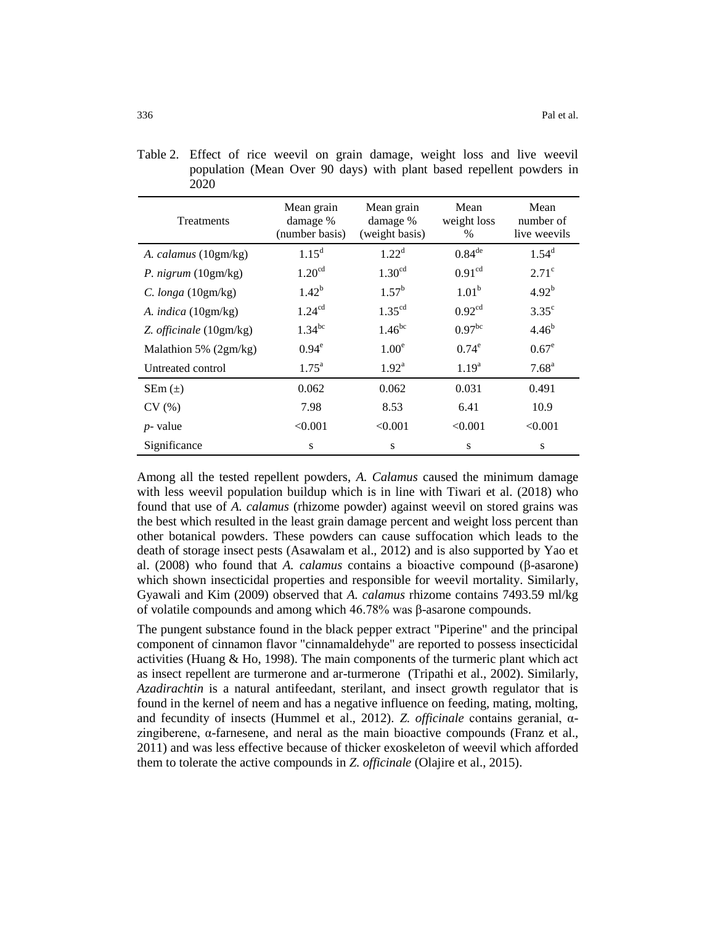| <b>Treatments</b>            | Mean grain<br>damage %<br>(number basis) | Mean grain<br>damage %<br>(weight basis) | Mean<br>weight loss<br>$\%$ | Mean<br>number of<br>live weevils |
|------------------------------|------------------------------------------|------------------------------------------|-----------------------------|-----------------------------------|
| A. calamus (10gm/kg)         | $1.15^d$                                 | $1.22^d$                                 | $0.84^{\text{de}}$          | $1.54^d$                          |
| P. nigrum $(10gm/kg)$        | 1.20 <sup>cd</sup>                       | 1.30 <sup>cd</sup>                       | 0.91 <sup>cd</sup>          | $2.71^\circ$                      |
| C. $longa(10gm/kg)$          | $1.42^{b}$                               | $1.57^{b}$                               | 1.01 <sup>b</sup>           | $4.92^{b}$                        |
| A. <i>indica</i> $(10gm/kg)$ | 1.24 <sup>cd</sup>                       | $1.35^{cd}$                              | 0.92 <sup>cd</sup>          | $3.35^{\circ}$                    |
| Z. officinale (10gm/kg)      | $1.34^{bc}$                              | $1.46^{bc}$                              | 0.97 <sup>bc</sup>          | $4.46^{b}$                        |
| Malathion 5% (2gm/kg)        | $0.94^e$                                 | $1.00^e$                                 | $0.74^e$                    | $0.67^e$                          |
| Untreated control            | $1.75^{\rm a}$                           | $1.92^{\text{a}}$                        | 1.19 <sup>a</sup>           | 7.68 <sup>a</sup>                 |
| $SEM(\pm)$                   | 0.062                                    | 0.062                                    | 0.031                       | 0.491                             |
| CV(%)                        | 7.98                                     | 8.53                                     | 6.41                        | 10.9                              |
| $p$ - value                  | < 0.001                                  | < 0.001                                  | < 0.001                     | < 0.001                           |
| Significance                 | S                                        | S                                        | S                           | S                                 |

Table 2. Effect of rice weevil on grain damage, weight loss and live weevil population (Mean Over 90 days) with plant based repellent powders in 2020

Among all the tested repellent powders, *A. Calamus* caused the minimum damage with less weevil population buildup which is in line with Tiwari et al. (2018) who found that use of *A. calamus* (rhizome powder) against weevil on stored grains was the best which resulted in the least grain damage percent and weight loss percent than other botanical powders. These powders can cause suffocation which leads to the death of storage insect pests (Asawalam et al., 2012) and is also supported by Yao et al. (2008) who found that *A. calamus* contains a bioactive compound (β-asarone) which shown insecticidal properties and responsible for weevil mortality. Similarly, Gyawali and Kim (2009) observed that *A. calamus* rhizome contains 7493.59 ml/kg of volatile compounds and among which 46.78% was β-asarone compounds.

The pungent substance found in the black pepper extract "Piperine" and the principal component of cinnamon flavor "cinnamaldehyde" are reported to possess insecticidal activities (Huang  $\&$  Ho, 1998). The main components of the turmeric plant which act as insect repellent are turmerone and ar-turmerone (Tripathi et al., 2002). Similarly, *Azadirachtin* is a natural antifeedant, sterilant, and insect growth regulator that is found in the kernel of neem and has a negative influence on feeding, mating, molting, and fecundity of insects (Hummel et al., 2012). *Z. officinale* contains geranial, αzingiberene, α-farnesene, and neral as the main bioactive compounds (Franz et al., 2011) and was less effective because of thicker exoskeleton of weevil which afforded them to tolerate the active compounds in *Z. officinale* (Olajire et al., 2015).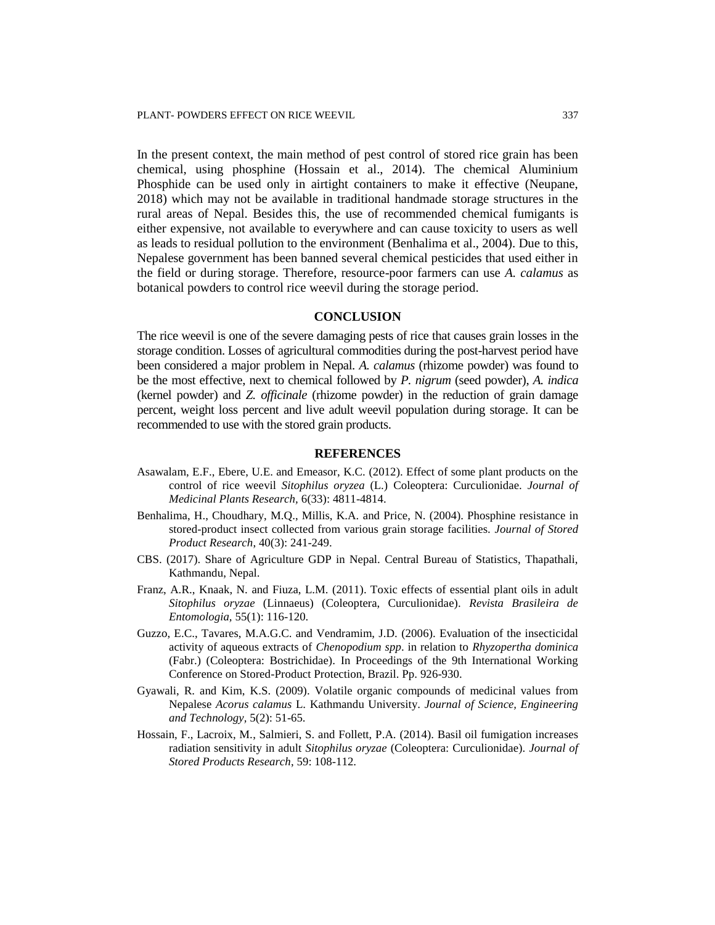In the present context, the main method of pest control of stored rice grain has been chemical, using phosphine (Hossain et al., 2014). The chemical Aluminium Phosphide can be used only in airtight containers to make it effective (Neupane, 2018) which may not be available in traditional handmade storage structures in the rural areas of Nepal. Besides this, the use of recommended chemical fumigants is either expensive, not available to everywhere and can cause toxicity to users as well as leads to residual pollution to the environment (Benhalima et al., 2004). Due to this, Nepalese government has been banned several chemical pesticides that used either in the field or during storage. Therefore, resource-poor farmers can use *A. calamus* as botanical powders to control rice weevil during the storage period.

## **CONCLUSION**

The rice weevil is one of the severe damaging pests of rice that causes grain losses in the storage condition. Losses of agricultural commodities during the post-harvest period have been considered a major problem in Nepal. *A. calamus* (rhizome powder) was found to be the most effective, next to chemical followed by *P. nigrum* (seed powder), *A. indica* (kernel powder) and *Z. officinale* (rhizome powder) in the reduction of grain damage percent, weight loss percent and live adult weevil population during storage. It can be recommended to use with the stored grain products.

#### **REFERENCES**

- Asawalam, E.F., Ebere, U.E. and Emeasor, K.C. (2012). Effect of some plant products on the control of rice weevil *Sitophilus oryzea* (L.) Coleoptera: Curculionidae. *Journal of Medicinal Plants Research,* 6(33): 4811-4814.
- Benhalima, H., Choudhary, M.Q., Millis, K.A. and Price, N. (2004). Phosphine resistance in stored-product insect collected from various grain storage facilities. *Journal of Stored Product Research*, 40(3): 241-249.
- CBS. (2017). Share of Agriculture GDP in Nepal. Central Bureau of Statistics, Thapathali, Kathmandu, Nepal.
- Franz, A.R., Knaak, N. and Fiuza, L.M. (2011). Toxic effects of essential plant oils in adult *Sitophilus oryzae* (Linnaeus) (Coleoptera, Curculionidae). *Revista Brasileira de Entomologia,* 55(1): 116-120.
- Guzzo, E.C., Tavares, M.A.G.C. and Vendramim, J.D. (2006). Evaluation of the insecticidal activity of aqueous extracts of *Chenopodium spp*. in relation to *Rhyzopertha dominica* (Fabr.) (Coleoptera: Bostrichidae). In Proceedings of the 9th International Working Conference on Stored-Product Protection, Brazil. Pp. 926-930.
- Gyawali, R. and Kim, K.S. (2009). Volatile organic compounds of medicinal values from Nepalese *Acorus calamus* L. Kathmandu University. *Journal of Science, Engineering and Technology,* 5(2): 51-65.
- Hossain, F., Lacroix, M., Salmieri, S. and Follett, P.A. (2014). Basil oil fumigation increases radiation sensitivity in adult *Sitophilus oryzae* (Coleoptera: Curculionidae). *Journal of Stored Products Research*, 59: 108-112.